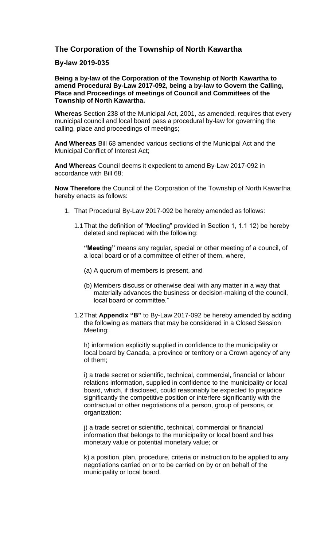## **The Corporation of the Township of North Kawartha**

## **By-law 2019-035**

**Being a by-law of the Corporation of the Township of North Kawartha to amend Procedural By-Law 2017-092, being a by-law to Govern the Calling, Place and Proceedings of meetings of Council and Committees of the Township of North Kawartha.**

**Whereas** Section 238 of the Municipal Act, 2001, as amended, requires that every municipal council and local board pass a procedural by-law for governing the calling, place and proceedings of meetings;

**And Whereas** Bill 68 amended various sections of the Municipal Act and the Municipal Conflict of Interest Act;

**And Whereas** Council deems it expedient to amend By-Law 2017-092 in accordance with Bill 68;

**Now Therefore** the Council of the Corporation of the Township of North Kawartha hereby enacts as follows:

- 1. That Procedural By-Law 2017-092 be hereby amended as follows:
	- 1.1That the definition of "Meeting" provided in Section 1, 1.1 12) be hereby deleted and replaced with the following:

**"Meeting"** means any regular, special or other meeting of a council, of a local board or of a committee of either of them, where,

- (a) A quorum of members is present, and
- (b) Members discuss or otherwise deal with any matter in a way that materially advances the business or decision-making of the council, local board or committee."
- 1.2That **Appendix "B"** to By-Law 2017-092 be hereby amended by adding the following as matters that may be considered in a Closed Session Meeting:

h) information explicitly supplied in confidence to the municipality or local board by Canada, a province or territory or a Crown agency of any of them;

i) a trade secret or scientific, technical, commercial, financial or labour relations information, supplied in confidence to the municipality or local board, which, if disclosed, could reasonably be expected to prejudice significantly the competitive position or interfere significantly with the contractual or other negotiations of a person, group of persons, or organization;

j) a trade secret or scientific, technical, commercial or financial information that belongs to the municipality or local board and has monetary value or potential monetary value; or

k) a position, plan, procedure, criteria or instruction to be applied to any negotiations carried on or to be carried on by or on behalf of the municipality or local board.